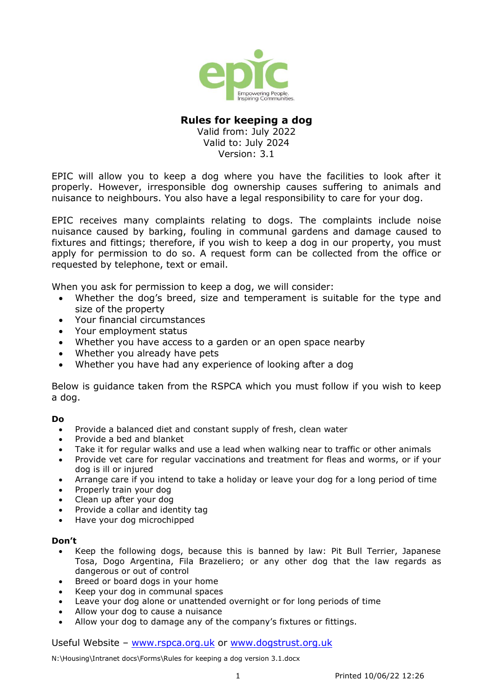

## **Rules for keeping a dog**

Valid from: July 2022 Valid to: July 2024 Version: 3.1

EPIC will allow you to keep a dog where you have the facilities to look after it properly. However, irresponsible dog ownership causes suffering to animals and nuisance to neighbours. You also have a legal responsibility to care for your dog.

EPIC receives many complaints relating to dogs. The complaints include noise nuisance caused by barking, fouling in communal gardens and damage caused to fixtures and fittings; therefore, if you wish to keep a dog in our property, you must apply for permission to do so. A request form can be collected from the office or requested by telephone, text or email.

When you ask for permission to keep a dog, we will consider:

- Whether the dog's breed, size and temperament is suitable for the type and size of the property
- Your financial circumstances
- Your employment status
- Whether you have access to a garden or an open space nearby
- Whether you already have pets
- Whether you have had any experience of looking after a dog

Below is guidance taken from the RSPCA which you must follow if you wish to keep a dog.

#### **Do**

- Provide a balanced diet and constant supply of fresh, clean water
- Provide a bed and blanket
- Take it for regular walks and use a lead when walking near to traffic or other animals
- Provide vet care for regular vaccinations and treatment for fleas and worms, or if your dog is ill or injured
- Arrange care if you intend to take a holiday or leave your dog for a long period of time
- Properly train your dog
- Clean up after your dog
- Provide a collar and identity tag
- Have your dog microchipped

#### **Don't**

- Keep the following dogs, because this is banned by law: Pit Bull Terrier, Japanese Tosa, Dogo Argentina, Fila Brazeliero; or any other dog that the law regards as dangerous or out of control
- Breed or board dogs in your home
- Keep your dog in communal spaces
- Leave your dog alone or unattended overnight or for long periods of time
- Allow your dog to cause a nuisance
- Allow your dog to damage any of the company's fixtures or fittings.

Useful Website – [www.rspca.org.uk](http://www.rspca.org.uk/) or [www.dogstrust.org.uk](http://www.dogstrust.org.uk/)

N:\Housing\Intranet docs\Forms\Rules for keeping a dog version 3.1.docx